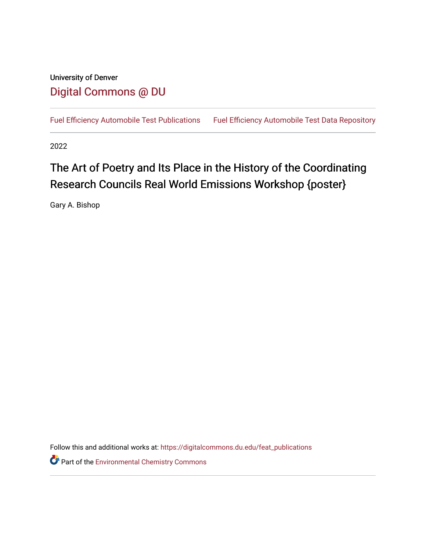# University of Denver [Digital Commons @ DU](https://digitalcommons.du.edu/)

[Fuel Efficiency Automobile Test Publications](https://digitalcommons.du.edu/feat_publications) Fuel Efficiency Automobile Test Data Repository

2022

# The Art of Poetry and Its Place in the History of the Coordinating Research Councils Real World Emissions Workshop {poster}

Gary A. Bishop

Follow this and additional works at: [https://digitalcommons.du.edu/feat\\_publications](https://digitalcommons.du.edu/feat_publications?utm_source=digitalcommons.du.edu%2Ffeat_publications%2F227&utm_medium=PDF&utm_campaign=PDFCoverPages) 

**Part of the [Environmental Chemistry Commons](http://network.bepress.com/hgg/discipline/134?utm_source=digitalcommons.du.edu%2Ffeat_publications%2F227&utm_medium=PDF&utm_campaign=PDFCoverPages)**